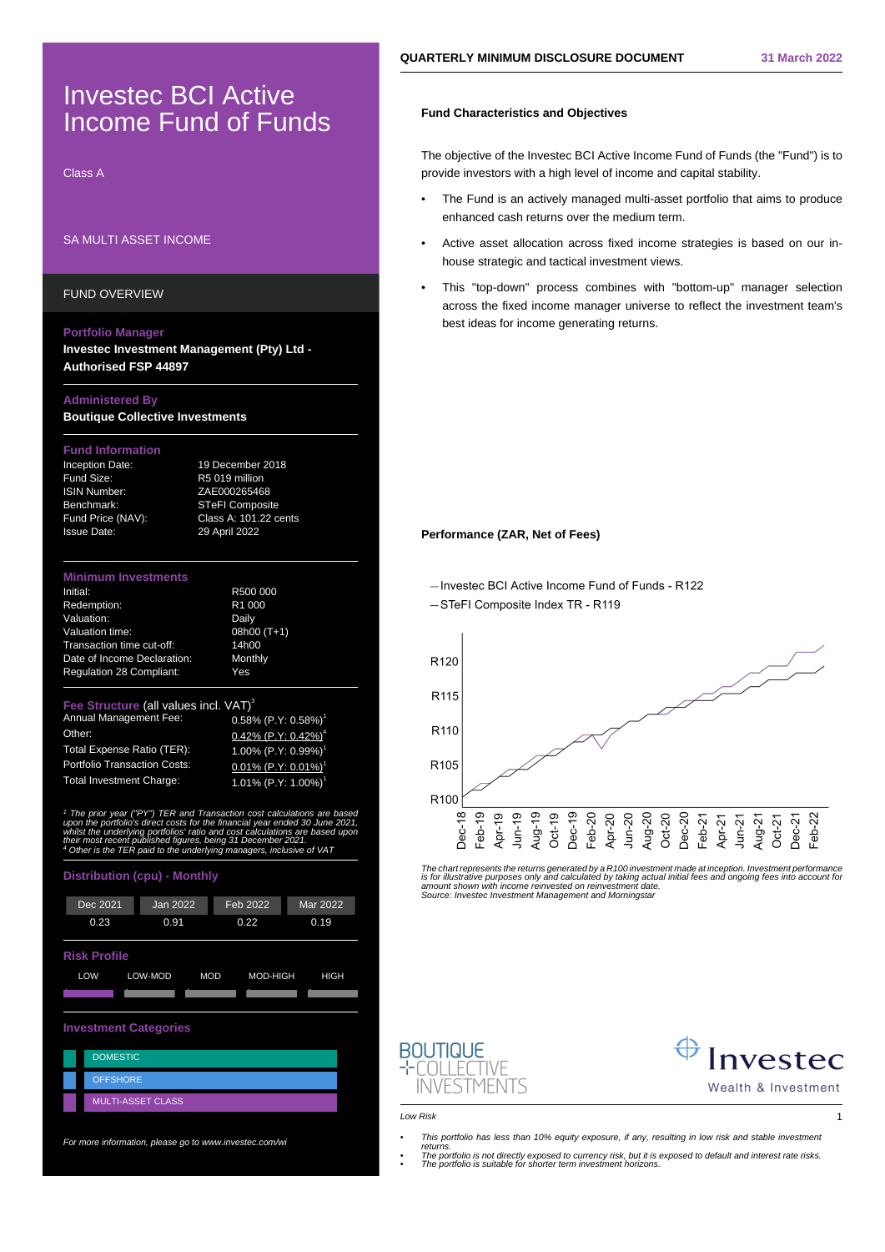# Investec BCI Active Income Fund of Funds

Class A

# SA MULTI ASSET INCOME

FUND OVERVIEW

### **Portfolio Manager**

**Investec Investment Management (Pty) Ltd - Authorised FSP 44897**

## **Administered By**

**Boutique Collective Investments**

### **Fund Information**

Fund Size: R5 019 million ISIN Number: ZAE000265468

Inception Date: 19 December 2018 Benchmark: STeFI Composite<br>Fund Price (NAV): Class A: 101.22 c Class A: 101.22 cents Issue Date: 29 April 2022

### **Minimum Investments**

| Initial:                        | R500 000           |
|---------------------------------|--------------------|
| Redemption:                     | R <sub>1</sub> 000 |
| Valuation:                      | Daily              |
| Valuation time:                 | 08h00 (T+1)        |
| Transaction time cut-off:       | 14h00              |
| Date of Income Declaration:     | Monthly            |
| <b>Requlation 28 Compliant:</b> | Yes                |
|                                 |                    |

## Fee Structure (all values incl. VAT)<sup>3</sup>

| <b>Annual Management Fee:</b>       |
|-------------------------------------|
| Other:                              |
| Total Expense Ratio (TER):          |
| <b>Portfolio Transaction Costs:</b> |
| Total Investment Charge:            |

 $0.58\%$  (P.Y: 0.58%)<sup>1</sup>  $0.42\%$  (P.Y:  $0.42\%$ )<sup>4</sup> 1.00% (P.Y: 0.99%) 0.01% (P.Y: 0.01%) 1.01% (P.Y: 1.00%)

<sup>1</sup> The prior year ("PY") TER and Transaction cost calculations are based<br>upon the portfolio's direct costs for the financial year ended 30 June 2021;<br>whilst the underlying portfolios' ratio and cost calculations are based 4 Other is the TER paid to the underlying managers, inclusive of VAT

# **Distribution (cpu) - Monthly**



## **Investment Categories**

| <b>DOMESTIC</b>          |
|--------------------------|
| <b>OFFSHORE</b>          |
| <b>MULTI-ASSET CLASS</b> |

For more information, please go to www.investec.com/wi

# **Fund Characteristics and Objectives**

The objective of the Investec BCI Active Income Fund of Funds (the "Fund") is to provide investors with a high level of income and capital stability.

- The Fund is an actively managed multi-asset portfolio that aims to produce enhanced cash returns over the medium term.
- Active asset allocation across fixed income strategies is based on our inhouse strategic and tactical investment views.
- This "top-down" process combines with "bottom-up" manager selection across the fixed income manager universe to reflect the investment team's best ideas for income generating returns.

## **Performance (ZAR, Net of Fees)**

-Invested BCI Active Income Fund of Funds - R122

-STeFI Composite Index TR - R119



The chart represents the returns generated by a R100 investment made at inception. Investment performance is for illustrative purposes only and calculated by taking actual initial fees and ongoing fees into account fo<br>amount shown with income reinvested on reinvestment date.<br>Source: Investec Investment Management and Morningst





Low Risk 1

- This portfolio has less than 10% equity exposure, if any, resulting in low risk and stable investment
- returns. The portfolio is not directly exposed to currency risk, but it is exposed to default and interest rate risks. The portfolio is suitable for shorter term investment horizons.
	-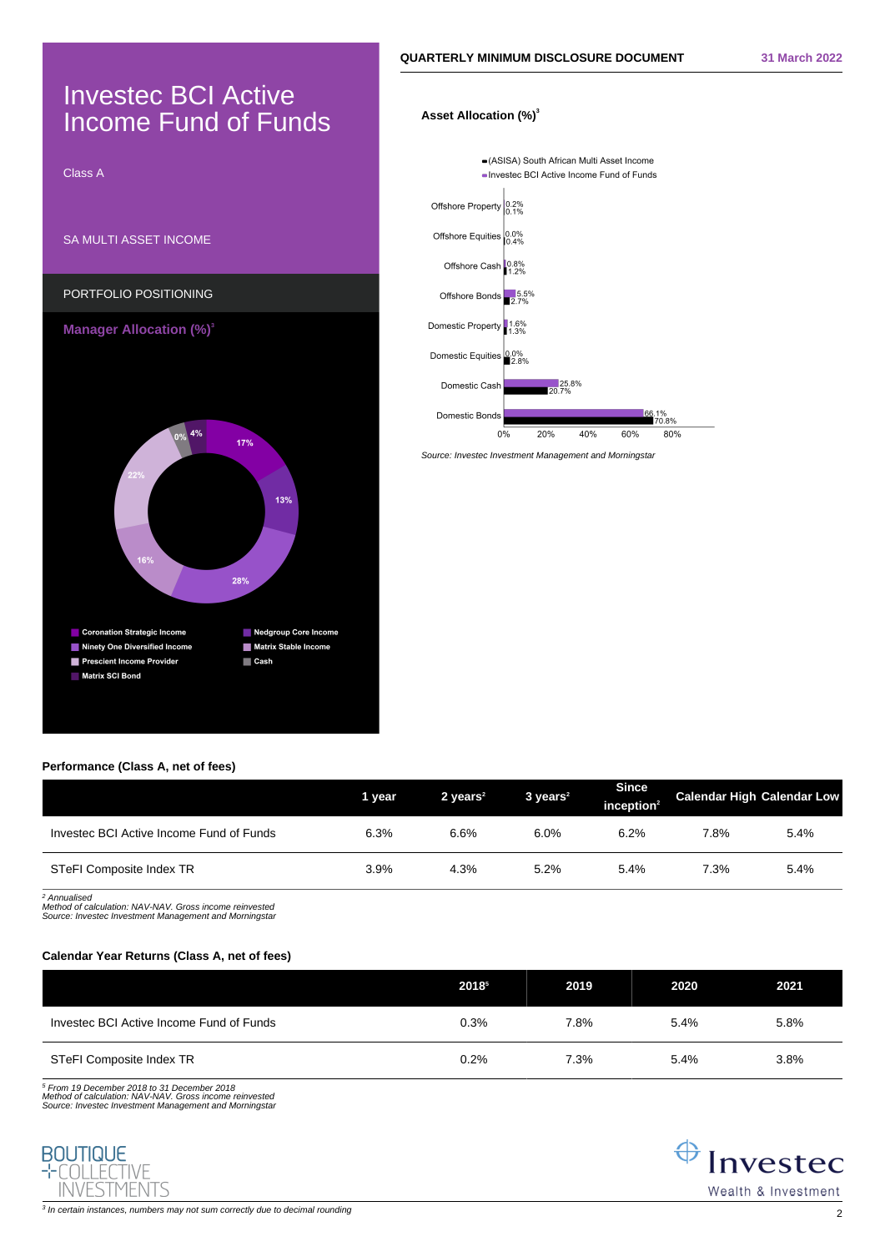# Investec BCI Active Income Fund of Funds

Class A SA MULTI ASSET INCOME PORTFOLIO POSITIONING **Manager Allocation (%)**<sup>3</sup>



# **Asset Allocation (%)<sup>3</sup>**



Source: Investec Investment Management and Morningstar

# **Performance (Class A, net of fees)**

|                                          | 1 year | 2 years $2$ | $3 \text{ years}^2$ | <b>Since</b><br>inception $2$ |      | <b>Calendar High Calendar Low</b> |
|------------------------------------------|--------|-------------|---------------------|-------------------------------|------|-----------------------------------|
| Investec BCI Active Income Fund of Funds | 6.3%   | 6.6%        | 6.0%                | 6.2%                          | 7.8% | 5.4%                              |
| STeFI Composite Index TR                 | 3.9%   | 4.3%        | 5.2%                | 5.4%                          | 7.3% | 5.4%                              |

2 Annualised Method of calculation: NAV-NAV. Gross income reinvested Source: Investec Investment Management and Morningstar

# **Calendar Year Returns (Class A, net of fees)**

|                                          | 20185 | 2019 | 2020 | 2021 |
|------------------------------------------|-------|------|------|------|
| Investec BCI Active Income Fund of Funds | 0.3%  | 7.8% | 5.4% | 5.8% |
| STeFI Composite Index TR                 | 0.2%  | 7.3% | 5.4% | 3.8% |

5 From 19 December 2018 to 31 December 2018 Method of calculation: NAV-NAV. Gross income reinvested Source: Investec Investment Management and Morningstar